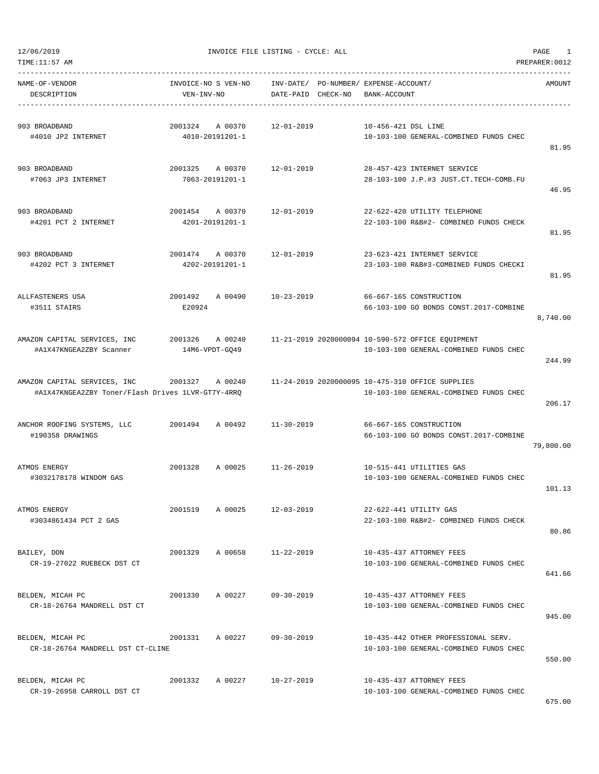| TIME:11:57 AM                                                                     |                                       |                                    |                                                                                             | PREPARER: 0012 |
|-----------------------------------------------------------------------------------|---------------------------------------|------------------------------------|---------------------------------------------------------------------------------------------|----------------|
| NAME-OF-VENDOR<br>DESCRIPTION                                                     | INVOICE-NO S VEN-NO<br>VEN-INV-NO     | INV-DATE/<br>CHECK-NO<br>DATE-PAID | PO-NUMBER/ EXPENSE-ACCOUNT/<br>BANK-ACCOUNT                                                 | AMOUNT         |
| 903 BROADBAND<br>#4010 JP2 INTERNET                                               | 2001324<br>A 00370<br>4010-20191201-1 | $12 - 01 - 2019$                   | 10-456-421 DSL LINE<br>10-103-100 GENERAL-COMBINED FUNDS CHEC                               | 81.95          |
| 903 BROADBAND<br>#7063 JP3 INTERNET                                               | 2001325<br>A 00370<br>7063-20191201-1 | $12 - 01 - 2019$                   | 28-457-423 INTERNET SERVICE<br>28-103-100 J.P.#3 JUST.CT.TECH-COMB.FU                       | 46.95          |
| 903 BROADBAND<br>#4201 PCT 2 INTERNET                                             | 2001454<br>A 00370<br>4201-20191201-1 | $12 - 01 - 2019$                   | 22-622-420 UTILITY TELEPHONE<br>22-103-100 R&B#2- COMBINED FUNDS CHECK                      | 81.95          |
| 903 BROADBAND<br>#4202 PCT 3 INTERNET                                             | 2001474<br>A 00370<br>4202-20191201-1 | $12 - 01 - 2019$                   | 23-623-421 INTERNET SERVICE<br>23-103-100 R&B#3-COMBINED FUNDS CHECKI                       | 81.95          |
| ALLFASTENERS USA<br>#3511 STAIRS                                                  | 2001492<br>A 00490<br>E20924          | $10 - 23 - 2019$                   | 66-667-165 CONSTRUCTION<br>66-103-100 GO BONDS CONST.2017-COMBINE                           | 8,740.00       |
| AMAZON CAPITAL SERVICES, INC<br>#A1X47KNGEA2ZBY Scanner                           | 2001326<br>A 00240<br>14M6-VPDT-GQ49  |                                    | 11-21-2019 2020000094 10-590-572 OFFICE EQUIPMENT<br>10-103-100 GENERAL-COMBINED FUNDS CHEC | 244.99         |
| AMAZON CAPITAL SERVICES, INC<br>#A1X47KNGEA2ZBY Toner/Flash Drives 1LVR-GT7Y-4RRQ | 2001327<br>A 00240                    |                                    | 11-24-2019 2020000095 10-475-310 OFFICE SUPPLIES<br>10-103-100 GENERAL-COMBINED FUNDS CHEC  | 206.17         |
| ANCHOR ROOFING SYSTEMS, LLC<br>#190358 DRAWINGS                                   | 2001494<br>A 00492                    | $11 - 30 - 2019$                   | 66-667-165 CONSTRUCTION<br>66-103-100 GO BONDS CONST.2017-COMBINE                           | 79,800.00      |
| ATMOS ENERGY<br>#3032178178 WINDOM GAS                                            | 2001328<br>A 00025                    | $11 - 26 - 2019$                   | 10-515-441 UTILITIES GAS<br>10-103-100 GENERAL-COMBINED FUNDS CHEC                          | 101.13         |
| ATMOS ENERGY<br>#3034861434 PCT 2 GAS                                             | 2001519<br>A 00025                    | $12 - 03 - 2019$                   | 22-622-441 UTILITY GAS<br>22-103-100 R&B#2- COMBINED FUNDS CHECK                            | 80.86          |
| BAILEY, DON<br>CR-19-27022 RUEBECK DST CT                                         | 2001329<br>A 00658                    | $11 - 22 - 2019$                   | 10-435-437 ATTORNEY FEES<br>10-103-100 GENERAL-COMBINED FUNDS CHEC                          | 641.66         |
| BELDEN, MICAH PC<br>CR-18-26764 MANDRELL DST CT                                   | 2001330<br>A 00227                    | $09 - 30 - 2019$                   | 10-435-437 ATTORNEY FEES<br>10-103-100 GENERAL-COMBINED FUNDS CHEC                          | 945.00         |
| BELDEN, MICAH PC<br>CR-18-26764 MANDRELL DST CT-CLINE                             | 2001331<br>A 00227                    | $09 - 30 - 2019$                   | 10-435-442 OTHER PROFESSIONAL SERV.<br>10-103-100 GENERAL-COMBINED FUNDS CHEC               | 550.00         |
| BELDEN, MICAH PC<br>CR-19-26958 CARROLL DST CT                                    | 2001332<br>A 00227                    | $10 - 27 - 2019$                   | 10-435-437 ATTORNEY FEES<br>10-103-100 GENERAL-COMBINED FUNDS CHEC                          | $- - -$        |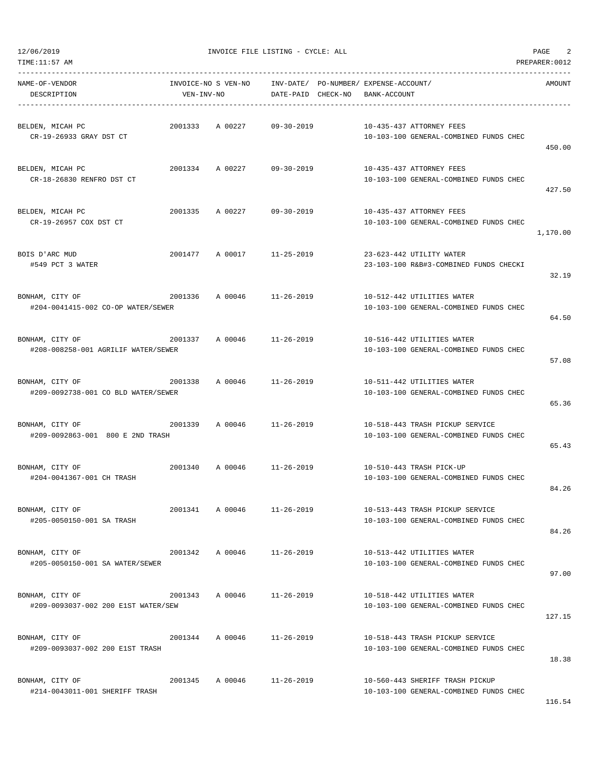| TIME:11:57 AM                                                                       |            |                            |                  |                                                                          |                                                                           | PREPARER: 0012 |
|-------------------------------------------------------------------------------------|------------|----------------------------|------------------|--------------------------------------------------------------------------|---------------------------------------------------------------------------|----------------|
| NAME-OF-VENDOR<br>DESCRIPTION                                                       | VEN-INV-NO | INVOICE-NO S VEN-NO        |                  | INV-DATE/ PO-NUMBER/ EXPENSE-ACCOUNT/<br>DATE-PAID CHECK-NO BANK-ACCOUNT |                                                                           | AMOUNT         |
| BELDEN, MICAH PC<br>CR-19-26933 GRAY DST CT                                         | 2001333    | A 00227                    | $09 - 30 - 2019$ |                                                                          | 10-435-437 ATTORNEY FEES<br>10-103-100 GENERAL-COMBINED FUNDS CHEC        | 450.00         |
| BELDEN, MICAH PC<br>CR-18-26830 RENFRO DST CT                                       |            | 2001334 A 00227 09-30-2019 |                  |                                                                          | 10-435-437 ATTORNEY FEES<br>10-103-100 GENERAL-COMBINED FUNDS CHEC        | 427.50         |
| BELDEN, MICAH PC<br>CR-19-26957 COX DST CT                                          | 2001335    | A 00227                    | 09-30-2019       |                                                                          | 10-435-437 ATTORNEY FEES<br>10-103-100 GENERAL-COMBINED FUNDS CHEC        | 1,170.00       |
| BOIS D'ARC MUD<br>#549 PCT 3 WATER                                                  |            | 2001477 A 00017 11-25-2019 |                  |                                                                          | 23-623-442 UTILITY WATER<br>23-103-100 R&B#3-COMBINED FUNDS CHECKI        | 32.19          |
| 2001336<br>BONHAM, CITY OF<br>#204-0041415-002 CO-OP WATER/SEWER                    |            | A 00046 11-26-2019         |                  |                                                                          | 10-512-442 UTILITIES WATER<br>10-103-100 GENERAL-COMBINED FUNDS CHEC      | 64.50          |
| BONHAM, CITY OF<br>#208-008258-001 AGRILIF WATER/SEWER                              |            | 2001337 A 00046            | 11-26-2019       |                                                                          | 10-516-442 UTILITIES WATER<br>10-103-100 GENERAL-COMBINED FUNDS CHEC      | 57.08          |
| BONHAM, CITY OF<br>#209-0092738-001 CO BLD WATER/SEWER                              |            | 2001338 A 00046 11-26-2019 |                  |                                                                          | 10-511-442 UTILITIES WATER<br>10-103-100 GENERAL-COMBINED FUNDS CHEC      | 65.36          |
| $2001339$ A 00046 11-26-2019<br>BONHAM, CITY OF<br>#209-0092863-001 800 E 2ND TRASH |            |                            |                  |                                                                          | 10-518-443 TRASH PICKUP SERVICE<br>10-103-100 GENERAL-COMBINED FUNDS CHEC | 65.43          |
| BONHAM, CITY OF<br>#204-0041367-001 CH TRASH                                        |            | 2001340 A 00046 11-26-2019 |                  |                                                                          | 10-510-443 TRASH PICK-UP<br>10-103-100 GENERAL-COMBINED FUNDS CHEC        | 84.26          |
| BONHAM, CITY OF<br>#205-0050150-001 SA TRASH                                        |            | 2001341 A 00046            | $11 - 26 - 2019$ |                                                                          | 10-513-443 TRASH PICKUP SERVICE<br>10-103-100 GENERAL-COMBINED FUNDS CHEC | 84.26          |
| BONHAM, CITY OF<br>#205-0050150-001 SA WATER/SEWER                                  |            | 2001342 A 00046 11-26-2019 |                  |                                                                          | 10-513-442 UTILITIES WATER<br>10-103-100 GENERAL-COMBINED FUNDS CHEC      | 97.00          |
| BONHAM, CITY OF<br>#209-0093037-002 200 E1ST WATER/SEW                              | 2001343    | A 00046                    | $11 - 26 - 2019$ |                                                                          | 10-518-442 UTILITIES WATER<br>10-103-100 GENERAL-COMBINED FUNDS CHEC      | 127.15         |
| BONHAM, CITY OF<br>#209-0093037-002 200 E1ST TRASH                                  |            | 2001344 A 00046            | 11-26-2019       |                                                                          | 10-518-443 TRASH PICKUP SERVICE<br>10-103-100 GENERAL-COMBINED FUNDS CHEC | 18.38          |
| BONHAM, CITY OF<br>#214-0043011-001 SHERIFF TRASH                                   |            | 2001345 A 00046            | 11-26-2019       |                                                                          | 10-560-443 SHERIFF TRASH PICKUP<br>10-103-100 GENERAL-COMBINED FUNDS CHEC |                |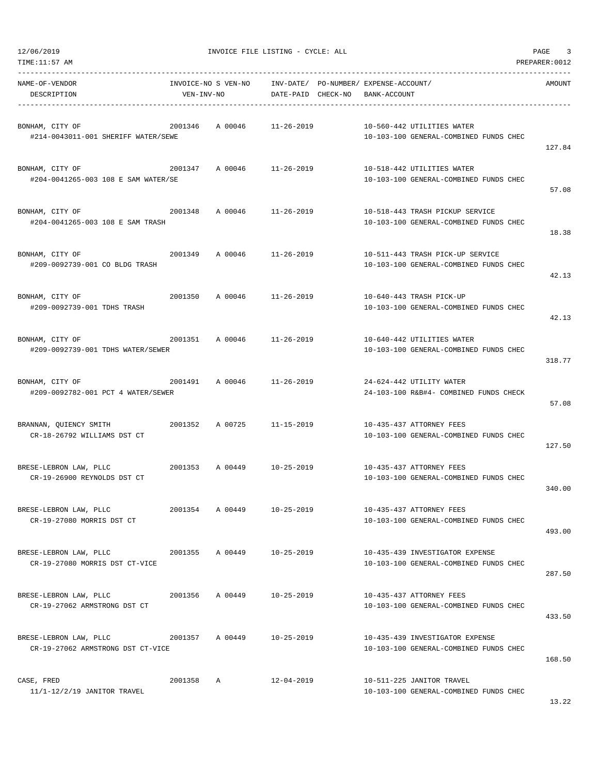| 12/06/2019 |  |  |
|------------|--|--|

12/07/12/07 THE LISTING - CYCLE: ALL PAGE 3

| NAME-OF-VENDOR<br>DESCRIPTION                                                         | VEN-INV-NO | INVOICE-NO S VEN-NO | INV-DATE/ PO-NUMBER/ EXPENSE-ACCOUNT/<br>DATE-PAID CHECK-NO | BANK-ACCOUNT |                                                                            | AMOUNT |
|---------------------------------------------------------------------------------------|------------|---------------------|-------------------------------------------------------------|--------------|----------------------------------------------------------------------------|--------|
| BONHAM, CITY OF<br>#214-0043011-001 SHERIFF WATER/SEWE                                |            | 2001346 A00046      | 11-26-2019                                                  |              | 10-560-442 UTILITIES WATER<br>10-103-100 GENERAL-COMBINED FUNDS CHEC       | 127.84 |
| BONHAM, CITY OF<br>#204-0041265-003 108 E SAM WATER/SE                                |            |                     | 2001347 A 00046 11-26-2019                                  |              | 10-518-442 UTILITIES WATER<br>10-103-100 GENERAL-COMBINED FUNDS CHEC       | 57.08  |
| $2001348$ A 00046 $11-26-2019$<br>BONHAM, CITY OF<br>#204-0041265-003 108 E SAM TRASH |            |                     |                                                             |              | 10-518-443 TRASH PICKUP SERVICE<br>10-103-100 GENERAL-COMBINED FUNDS CHEC  | 18.38  |
| BONHAM, CITY OF<br>#209-0092739-001 CO BLDG TRASH                                     |            | 2001349 A 00046     | 11-26-2019                                                  |              | 10-511-443 TRASH PICK-UP SERVICE<br>10-103-100 GENERAL-COMBINED FUNDS CHEC | 42.13  |
| BONHAM, CITY OF<br>#209-0092739-001 TDHS TRASH                                        |            |                     | 2001350 A 00046 11-26-2019                                  |              | 10-640-443 TRASH PICK-UP<br>10-103-100 GENERAL-COMBINED FUNDS CHEC         | 42.13  |
| 2001351 A 00046 11-26-2019<br>BONHAM, CITY OF<br>#209-0092739-001 TDHS WATER/SEWER    |            |                     |                                                             |              | 10-640-442 UTILITIES WATER<br>10-103-100 GENERAL-COMBINED FUNDS CHEC       | 318.77 |
| 2001491 A 00046 11-26-2019<br>BONHAM, CITY OF<br>#209-0092782-001 PCT 4 WATER/SEWER   |            |                     |                                                             |              | 24-624-442 UTILITY WATER<br>24-103-100 R&B#4- COMBINED FUNDS CHECK         | 57.08  |
| BRANNAN, QUIENCY SMITH<br>CR-18-26792 WILLIAMS DST CT                                 |            |                     | 2001352 A 00725 11-15-2019                                  |              | 10-435-437 ATTORNEY FEES<br>10-103-100 GENERAL-COMBINED FUNDS CHEC         | 127.50 |
| BRESE-LEBRON LAW, PLLC 2001353 A 00449 10-25-2019<br>CR-19-26900 REYNOLDS DST CT      |            |                     |                                                             |              | 10-435-437 ATTORNEY FEES<br>10-103-100 GENERAL-COMBINED FUNDS CHEC         | 340.00 |
| BRESE-LEBRON LAW, PLLC<br>CR-19-27080 MORRIS DST CT                                   | 2001354    | A 00449             | $10 - 25 - 2019$                                            |              | 10-435-437 ATTORNEY FEES<br>10-103-100 GENERAL-COMBINED FUNDS CHEC         | 493.00 |
| BRESE-LEBRON LAW, PLLC<br>CR-19-27080 MORRIS DST CT-VICE                              | 2001355    | A 00449             | 10-25-2019                                                  |              | 10-435-439 INVESTIGATOR EXPENSE<br>10-103-100 GENERAL-COMBINED FUNDS CHEC  | 287.50 |
| BRESE-LEBRON LAW, PLLC<br>CR-19-27062 ARMSTRONG DST CT                                | 2001356    | A 00449             | 10-25-2019                                                  |              | 10-435-437 ATTORNEY FEES<br>10-103-100 GENERAL-COMBINED FUNDS CHEC         | 433.50 |
| BRESE-LEBRON LAW, PLLC<br>CR-19-27062 ARMSTRONG DST CT-VICE                           | 2001357    | A 00449             | $10 - 25 - 2019$                                            |              | 10-435-439 INVESTIGATOR EXPENSE<br>10-103-100 GENERAL-COMBINED FUNDS CHEC  | 168.50 |
| CASE, FRED<br>11/1-12/2/19 JANITOR TRAVEL                                             | 2001358    | Α                   | $12 - 04 - 2019$                                            |              | 10-511-225 JANITOR TRAVEL<br>10-103-100 GENERAL-COMBINED FUNDS CHEC        |        |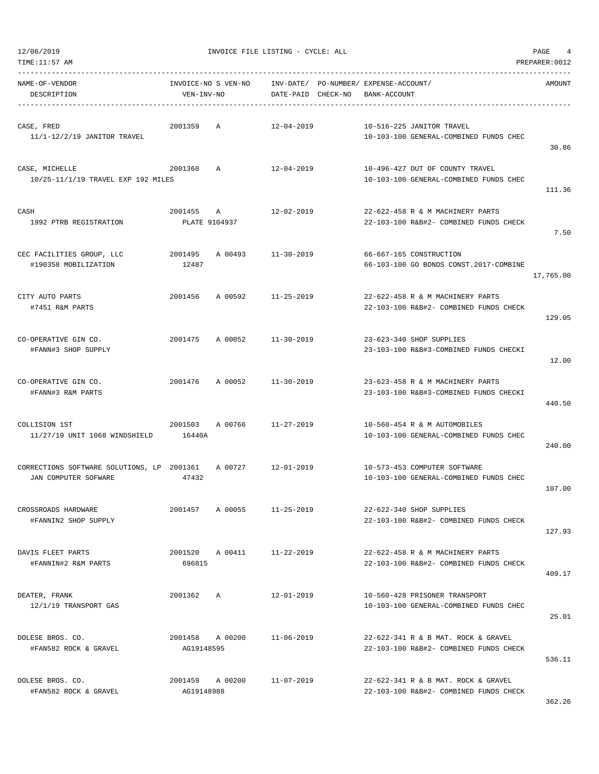| TIME: 11:57 AM                                                     |                                   |              |                    |                                                                               | PREPARER: 0012 |
|--------------------------------------------------------------------|-----------------------------------|--------------|--------------------|-------------------------------------------------------------------------------|----------------|
| NAME-OF-VENDOR<br>DESCRIPTION                                      | INVOICE-NO S VEN-NO<br>VEN-INV-NO |              | DATE-PAID CHECK-NO | INV-DATE/ PO-NUMBER/ EXPENSE-ACCOUNT/<br>BANK-ACCOUNT                         | <b>AMOUNT</b>  |
| CASE, FRED<br>11/1-12/2/19 JANITOR TRAVEL                          | 2001359                           | Α            | $12 - 04 - 2019$   | 10-516-225 JANITOR TRAVEL<br>10-103-100 GENERAL-COMBINED FUNDS CHEC           | 30.86          |
| CASE, MICHELLE<br>10/25-11/1/19 TRAVEL EXP 192 MILES               | 2001360                           | A            | 12-04-2019         | 10-496-427 OUT OF COUNTY TRAVEL<br>10-103-100 GENERAL-COMBINED FUNDS CHEC     | 111.36         |
| CASH<br>1992 PTRB REGISTRATION                                     | 2001455<br>PLATE 9104937          | $\mathbb{A}$ | $12 - 02 - 2019$   | 22-622-458 R & M MACHINERY PARTS<br>22-103-100 R&B#2- COMBINED FUNDS CHECK    | 7.50           |
| CEC FACILITIES GROUP, LLC<br>#190358 MOBILIZATION                  | 2001495<br>12487                  | A 00493      | $11 - 30 - 2019$   | 66-667-165 CONSTRUCTION<br>66-103-100 GO BONDS CONST.2017-COMBINE             | 17,765.00      |
| CITY AUTO PARTS<br>#7451 R&M PARTS                                 | 2001456                           | A 00592      | $11 - 25 - 2019$   | 22-622-458 R & M MACHINERY PARTS<br>22-103-100 R&B#2- COMBINED FUNDS CHECK    | 129.05         |
| CO-OPERATIVE GIN CO.<br>#FANN#3 SHOP SUPPLY                        | 2001475                           | A 00052      | $11 - 30 - 2019$   | 23-623-340 SHOP SUPPLIES<br>23-103-100 R&B#3-COMBINED FUNDS CHECKI            | 12.00          |
| CO-OPERATIVE GIN CO.<br>#FANN#3 R&M PARTS                          | 2001476                           | A 00052      | $11 - 30 - 2019$   | 23-623-458 R & M MACHINERY PARTS<br>23-103-100 R&B#3-COMBINED FUNDS CHECKI    | 440.50         |
| COLLISION 1ST<br>11/27/19 UNIT 1068 WINDSHIELD                     | 2001503<br>16440A                 | A 00766      | $11 - 27 - 2019$   | 10-560-454 R & M AUTOMOBILES<br>10-103-100 GENERAL-COMBINED FUNDS CHEC        | 240.00         |
| CORRECTIONS SOFTWARE SOLUTIONS, LP 2001361<br>JAN COMPUTER SOFWARE | 47432                             | A 00727      | $12 - 01 - 2019$   | 10-573-453 COMPUTER SOFTWARE<br>10-103-100 GENERAL-COMBINED FUNDS CHEC        | 107.00         |
| CROSSROADS HARDWARE<br>#FANNIN2 SHOP SUPPLY                        | 2001457                           | A 00055      | $11 - 25 - 2019$   | 22-622-340 SHOP SUPPLIES<br>22-103-100 R&B#2- COMBINED FUNDS CHECK            | 127.93         |
| DAVIS FLEET PARTS<br>#FANNIN#2 R&M PARTS                           | 2001520 A 00411<br>696815         |              | 11-22-2019         | 22-622-458 R & M MACHINERY PARTS<br>22-103-100 R&B#2- COMBINED FUNDS CHECK    | 409.17         |
| DEATER, FRANK<br>12/1/19 TRANSPORT GAS                             | 2001362                           | A            | $12 - 01 - 2019$   | 10-560-428 PRISONER TRANSPORT<br>10-103-100 GENERAL-COMBINED FUNDS CHEC       | 25.01          |
| DOLESE BROS. CO.<br>#FAN582 ROCK & GRAVEL                          | 2001458 A 00200<br>AG19148595     |              | $11 - 06 - 2019$   | 22-622-341 R & B MAT. ROCK & GRAVEL<br>22-103-100 R&B#2- COMBINED FUNDS CHECK | 536.11         |
| DOLESE BROS. CO.<br>#FAN582 ROCK & GRAVEL                          | 2001459 A 00200<br>AG19148988     |              | $11 - 07 - 2019$   | 22-622-341 R & B MAT. ROCK & GRAVEL<br>22-103-100 R&B#2- COMBINED FUNDS CHECK |                |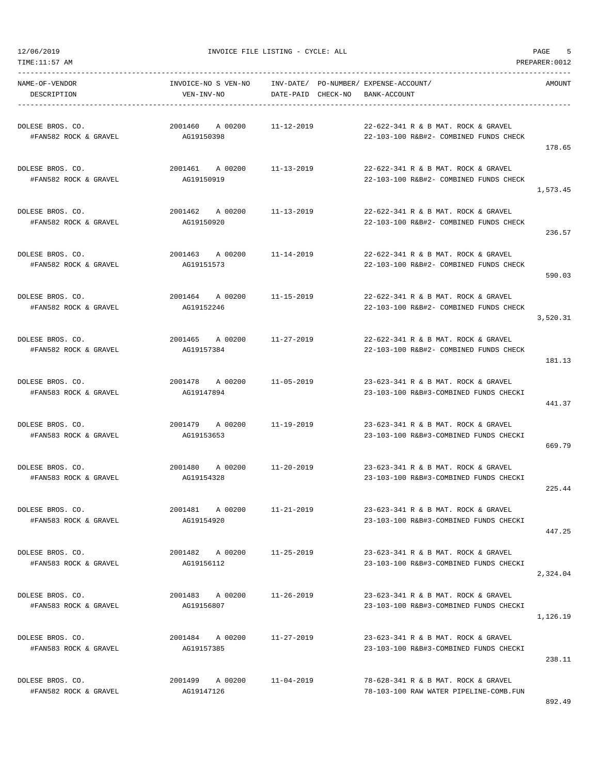TIME:11:57 AM PREPARER:0012 ----------------------------------------------------------------------------------------------------------------------------------- NAME-OF-VENDOR INVOICE-NO S VEN-NO INV-DATE/ PO-NUMBER/ EXPENSE-ACCOUNT/ AMOUNT DESCRIPTION VEN-INV-NO DATE-PAID CHECK-NO BANK-ACCOUNT ----------------------------------------------------------------------------------------------------------------------------------- DOLESE BROS. CO. 2001460 A 00200 11-12-2019 22-622-341 R & B MAT. ROCK & GRAVEL #FAN582 ROCK & GRAVEL AG19150398 22-103-100 R&B#2- COMBINED FUNDS CHECK 178.65 DOLESE BROS. CO. 2001461 A 00200 11-13-2019 22-622-341 R & B MAT. ROCK & GRAVEL #FAN582 ROCK & GRAVEL AG19150919 22-103-100 R&B#2- COMBINED FUNDS CHECK 1,573.45 DOLESE BROS. CO. 2001462 A 00200 11-13-2019 22-622-341 R & B MAT. ROCK & GRAVEL #FAN582 ROCK & GRAVEL AG19150920 22-103-100 R&B#2- COMBINED FUNDS CHECK 236.57 DOLESE BROS. CO. 2001463 A 00200 11-14-2019 22-622-341 R & B MAT. ROCK & GRAVEL #FAN582 ROCK & GRAVEL AG19151573 22-103-100 R&B#2- COMBINED FUNDS CHECK 590.03 DOLESE BROS. CO. 2001464 A 00200 11-15-2019 22-622-341 R & B MAT. ROCK & GRAVEL #FAN582 ROCK & GRAVEL AG19152246 22-103-100 R&B#2- COMBINED FUNDS CHECK 3,520.31 DOLESE BROS. CO. 2001465 A 00200 11-27-2019 22-622-341 R & B MAT. ROCK & GRAVEL #FAN582 ROCK & GRAVEL AG19157384 22-103-100 R&B#2- COMBINED FUNDS CHECK 181.13 DOLESE BROS. CO. 2001478 A 00200 11-05-2019 23-623-341 R & B MAT. ROCK & GRAVEL #FAN583 ROCK & GRAVEL AG19147894 23-103-100 R&B#3-COMBINED FUNDS CHECKI 441.37 DOLESE BROS. CO. 2001479 A 00200 11-19-2019 23-623-341 R & B MAT. ROCK & GRAVEL #FAN583 ROCK & GRAVEL AG19153653 23-103-100 R&B#3-COMBINED FUNDS CHECKI 669.79 DOLESE BROS. CO. 2001480 A 00200 11-20-2019 23-623-341 R & B MAT. ROCK & GRAVEL #FAN583 ROCK & GRAVEL AG19154328 23-103-100 R&B#3-COMBINED FUNDS CHECKI 225.44 DOLESE BROS. CO. 2001481 A 00200 11-21-2019 23-623-341 R & B MAT. ROCK & GRAVEL #FAN583 ROCK & GRAVEL AG19154920 23-103-100 R&B#3-COMBINED FUNDS CHECKI 447.25 DOLESE BROS. CO. 2001482 A 00200 11-25-2019 23-623-341 R & B MAT. ROCK & GRAVEL #FAN583 ROCK & GRAVEL AG19156112 23-103-100 R&B#3-COMBINED FUNDS CHECKI 2,324.04 DOLESE BROS. CO. 2001483 A 00200 11-26-2019 23-623-341 R & B MAT. ROCK & GRAVEL #FAN583 ROCK & GRAVEL AG19156807 23-103-100 R&B#3-COMBINED FUNDS CHECKI 1,126.19 DOLESE BROS. CO. 2001484 A 00200 11-27-2019 23-623-341 R & B MAT. ROCK & GRAVEL #FAN583 ROCK & GRAVEL AG19157385 23-103-100 R&B#3-COMBINED FUNDS CHECKI 238.11 DOLESE BROS. CO. 2001499 A 00200 11-04-2019 78-628-341 R & B MAT. ROCK & GRAVEL #FAN582 ROCK & GRAVEL AG19147126 78-103-100 RAW WATER PIPELINE-COMB.FUN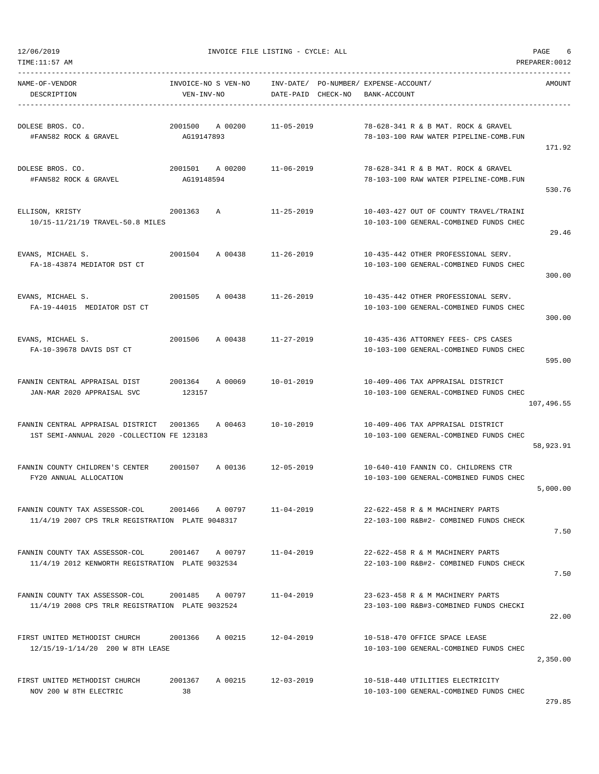TIME:11:57 AM PREPARER:0012

12/06/2019 INVOICE FILE LISTING - CYCLE: ALL PAGE 6

| NAME-OF-VENDOR<br>DESCRIPTION                                                      | INVOICE-NO S VEN-NO<br>VEN-INV-NO |         | DATE-PAID CHECK-NO | INV-DATE/ PO-NUMBER/ EXPENSE-ACCOUNT/<br>BANK-ACCOUNT                            | AMOUNT     |
|------------------------------------------------------------------------------------|-----------------------------------|---------|--------------------|----------------------------------------------------------------------------------|------------|
| DOLESE BROS. CO.<br>#FAN582 ROCK & GRAVEL                                          | 2001500<br>AG19147893             | A 00200 | 11-05-2019         | 78-628-341 R & B MAT. ROCK & GRAVEL<br>78-103-100 RAW WATER PIPELINE-COMB.FUN    | 171.92     |
| DOLESE BROS. CO.<br>#FAN582 ROCK & GRAVEL                                          | 2001501<br>AG19148594             | A 00200 | 11-06-2019         | 78-628-341 R & B MAT. ROCK & GRAVEL<br>78-103-100 RAW WATER PIPELINE-COMB.FUN    | 530.76     |
| ELLISON, KRISTY<br>10/15-11/21/19 TRAVEL-50.8 MILES                                | 2001363                           | Α       | $11 - 25 - 2019$   | 10-403-427 OUT OF COUNTY TRAVEL/TRAINI<br>10-103-100 GENERAL-COMBINED FUNDS CHEC | 29.46      |
| EVANS, MICHAEL S.<br>FA-18-43874 MEDIATOR DST CT                                   | 2001504                           | A 00438 | 11-26-2019         | 10-435-442 OTHER PROFESSIONAL SERV.<br>10-103-100 GENERAL-COMBINED FUNDS CHEC    | 300.00     |
| EVANS, MICHAEL S.<br>FA-19-44015 MEDIATOR DST CT                                   | 2001505                           | A 00438 | $11 - 26 - 2019$   | 10-435-442 OTHER PROFESSIONAL SERV.<br>10-103-100 GENERAL-COMBINED FUNDS CHEC    | 300.00     |
| EVANS, MICHAEL S.<br>FA-10-39678 DAVIS DST CT                                      | 2001506                           | A 00438 | 11-27-2019         | 10-435-436 ATTORNEY FEES- CPS CASES<br>10-103-100 GENERAL-COMBINED FUNDS CHEC    | 595.00     |
| FANNIN CENTRAL APPRAISAL DIST<br>JAN-MAR 2020 APPRAISAL SVC                        | 2001364<br>123157                 | A 00069 | 10-01-2019         | 10-409-406 TAX APPRAISAL DISTRICT<br>10-103-100 GENERAL-COMBINED FUNDS CHEC      | 107,496.55 |
| FANNIN CENTRAL APPRAISAL DISTRICT<br>1ST SEMI-ANNUAL 2020 -COLLECTION FE 123183    | 2001365                           | A 00463 | $10 - 10 - 2019$   | 10-409-406 TAX APPRAISAL DISTRICT<br>10-103-100 GENERAL-COMBINED FUNDS CHEC      | 58,923.91  |
| FANNIN COUNTY CHILDREN'S CENTER<br>FY20 ANNUAL ALLOCATION                          | 2001507                           | A 00136 | 12-05-2019         | 10-640-410 FANNIN CO. CHILDRENS CTR<br>10-103-100 GENERAL-COMBINED FUNDS CHEC    | 5,000.00   |
| FANNIN COUNTY TAX ASSESSOR-COL<br>11/4/19 2007 CPS TRLR REGISTRATION PLATE 9048317 | 2001466                           | A 00797 | $11 - 04 - 2019$   | 22-622-458 R & M MACHINERY PARTS<br>22-103-100 R&B#2- COMBINED FUNDS CHECK       | 7.50       |
| FANNIN COUNTY TAX ASSESSOR-COL<br>11/4/19 2012 KENWORTH REGISTRATION PLATE 9032534 | 2001467 A 00797                   |         | $11 - 04 - 2019$   | 22-622-458 R & M MACHINERY PARTS<br>22-103-100 R&B#2- COMBINED FUNDS CHECK       | 7.50       |
| FANNIN COUNTY TAX ASSESSOR-COL<br>11/4/19 2008 CPS TRLR REGISTRATION PLATE 9032524 | 2001485 A 00797                   |         | $11 - 04 - 2019$   | 23-623-458 R & M MACHINERY PARTS<br>23-103-100 R&B#3-COMBINED FUNDS CHECKI       | 22.00      |
| FIRST UNITED METHODIST CHURCH<br>12/15/19-1/14/20 200 W 8TH LEASE                  | 2001366                           | A 00215 | $12 - 04 - 2019$   | 10-518-470 OFFICE SPACE LEASE<br>10-103-100 GENERAL-COMBINED FUNDS CHEC          | 2,350.00   |
| FIRST UNITED METHODIST CHURCH<br>NOV 200 W 8TH ELECTRIC                            | 2001367<br>38                     | A 00215 | 12-03-2019         | 10-518-440 UTILITIES ELECTRICITY<br>10-103-100 GENERAL-COMBINED FUNDS CHEC       |            |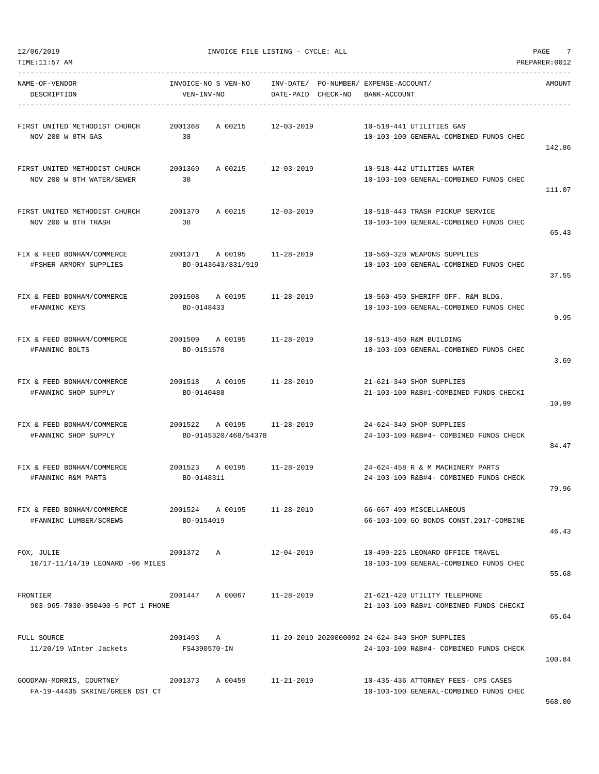| NAME-OF-VENDOR<br>DESCRIPTION                               | VEN-INV-NO                    | INVOICE-NO S VEN-NO INV-DATE/ PO-NUMBER/ EXPENSE-ACCOUNT/ |            | DATE-PAID CHECK-NO BANK-ACCOUNT |                                                                                          | AMOUNT |
|-------------------------------------------------------------|-------------------------------|-----------------------------------------------------------|------------|---------------------------------|------------------------------------------------------------------------------------------|--------|
| FIRST UNITED METHODIST CHURCH 2001368<br>NOV 200 W 8TH GAS  | 38                            | A 00215 12-03-2019                                        |            |                                 | 10-518-441 UTILITIES GAS<br>10-103-100 GENERAL-COMBINED FUNDS CHEC                       | 142.86 |
| FIRST UNITED METHODIST CHURCH<br>NOV 200 W 8TH WATER/SEWER  | 2001369<br>38                 | A 00215                                                   | 12-03-2019 |                                 | 10-518-442 UTILITIES WATER<br>10-103-100 GENERAL-COMBINED FUNDS CHEC                     | 111.07 |
| FIRST UNITED METHODIST CHURCH<br>NOV 200 W 8TH TRASH        | 2001370<br>38                 | A 00215 12-03-2019                                        |            |                                 | 10-518-443 TRASH PICKUP SERVICE<br>10-103-100 GENERAL-COMBINED FUNDS CHEC                | 65.43  |
| FIX & FEED BONHAM/COMMERCE<br>#FSHER ARMORY SUPPLIES        |                               | 2001371 A 00195 11-28-2019<br>BO-0143643/831/919          |            |                                 | 10-560-320 WEAPONS SUPPLIES<br>10-103-100 GENERAL-COMBINED FUNDS CHEC                    | 37.55  |
| FIX & FEED BONHAM/COMMERCE<br>#FANNINC KEYS                 | BO-0148433                    | 2001508 A 00195 11-28-2019                                |            |                                 | 10-560-450 SHERIFF OFF. R&M BLDG.<br>10-103-100 GENERAL-COMBINED FUNDS CHEC              | 9.95   |
| FIX & FEED BONHAM/COMMERCE<br>#FANNINC BOLTS                | BO-0151570                    | 2001509 A 00195 11-28-2019                                |            |                                 | 10-513-450 R&M BUILDING<br>10-103-100 GENERAL-COMBINED FUNDS CHEC                        | 3.69   |
| FIX & FEED BONHAM/COMMERCE<br>#FANNINC SHOP SUPPLY          | BO-0140488                    | 2001518 A 00195 11-28-2019                                |            |                                 | 21-621-340 SHOP SUPPLIES<br>21-103-100 R&B#1-COMBINED FUNDS CHECKI                       | 10.99  |
| FIX & FEED BONHAM/COMMERCE<br>#FANNINC SHOP SUPPLY          |                               | 2001522 A 00195 11-28-2019<br>BO-0145320/468/54378        |            |                                 | 24-624-340 SHOP SUPPLIES<br>24-103-100 R&B#4- COMBINED FUNDS CHECK                       | 84.47  |
| FIX & FEED BONHAM/COMMERCE<br>#FANNINC R&M PARTS            | BO-0148311                    | 2001523 A 00195 11-28-2019                                |            |                                 | 24-624-458 R & M MACHINERY PARTS<br>24-103-100 R&B#4- COMBINED FUNDS CHECK               | 79.96  |
| FIX & FEED BONHAM/COMMERCE<br>#FANNINC LUMBER/SCREWS        | 2001524 A 00195<br>BO-0154019 |                                                           | 11-28-2019 |                                 | 66-667-490 MISCELLANEOUS<br>66-103-100 GO BONDS CONST.2017-COMBINE                       | 46.43  |
| FOX, JULIE<br>10/17-11/14/19 LEONARD -96 MILES              | 2001372 A                     |                                                           | 12-04-2019 |                                 | 10-499-225 LEONARD OFFICE TRAVEL<br>10-103-100 GENERAL-COMBINED FUNDS CHEC               | 55.68  |
| FRONTIER<br>903-965-7030-050400-5 PCT 1 PHONE               |                               | 2001447 A 00067                                           | 11-28-2019 |                                 | 21-621-420 UTILITY TELEPHONE<br>21-103-100 R&B#1-COMBINED FUNDS CHECKI                   | 65.64  |
| FULL SOURCE<br>11/20/19 WInter Jackets                      | 2001493 A<br>FS4390570-IN     |                                                           |            |                                 | 11-20-2019 2020000092 24-624-340 SHOP SUPPLIES<br>24-103-100 R&B#4- COMBINED FUNDS CHECK | 100.84 |
| GOODMAN-MORRIS, COURTNEY<br>FA-19-44435 SKRINE/GREEN DST CT |                               | 2001373 A 00459 11-21-2019                                |            |                                 | 10-435-436 ATTORNEY FEES- CPS CASES<br>10-103-100 GENERAL-COMBINED FUNDS CHEC            |        |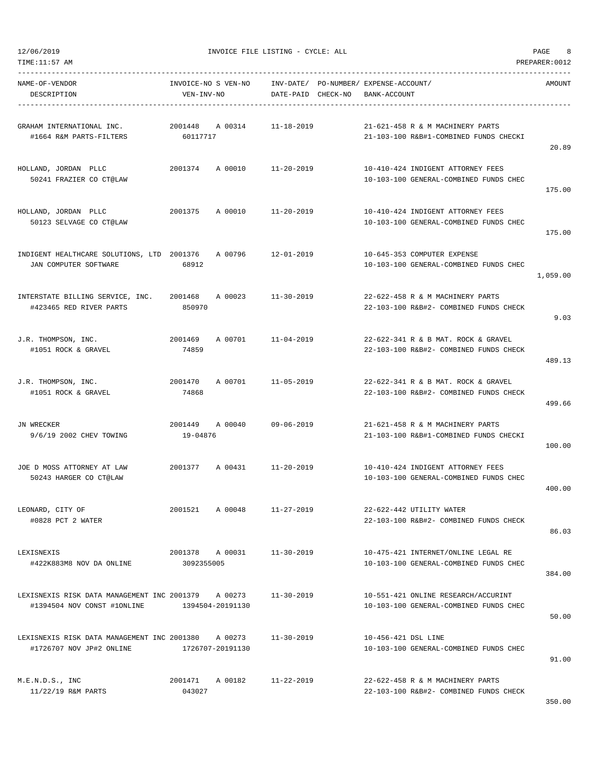| NAME-OF-VENDOR                                      |                 |                  |                                                                                 |                     |                                        |          |
|-----------------------------------------------------|-----------------|------------------|---------------------------------------------------------------------------------|---------------------|----------------------------------------|----------|
| DESCRIPTION                                         | VEN-INV-NO      |                  | INVOICE-NO S VEN-NO INV-DATE/ PO-NUMBER/ EXPENSE-ACCOUNT/<br>DATE-PAID CHECK-NO | BANK-ACCOUNT        |                                        | AMOUNT   |
|                                                     |                 |                  |                                                                                 |                     |                                        |          |
| GRAHAM INTERNATIONAL INC.                           |                 | 2001448 A 00314  | 11-18-2019                                                                      |                     | 21-621-458 R & M MACHINERY PARTS       |          |
| #1664 R&M PARTS-FILTERS                             | 60117717        |                  |                                                                                 |                     | 21-103-100 R&B#1-COMBINED FUNDS CHECKI |          |
|                                                     |                 |                  |                                                                                 |                     |                                        | 20.89    |
| HOLLAND, JORDAN PLLC                                |                 |                  | 2001374 A 00010 11-20-2019                                                      |                     | 10-410-424 INDIGENT ATTORNEY FEES      |          |
| 50241 FRAZIER CO CT@LAW                             |                 |                  |                                                                                 |                     | 10-103-100 GENERAL-COMBINED FUNDS CHEC |          |
|                                                     |                 |                  |                                                                                 |                     |                                        | 175.00   |
| HOLLAND, JORDAN PLLC                                |                 |                  | 2001375 A 00010 11-20-2019                                                      |                     | 10-410-424 INDIGENT ATTORNEY FEES      |          |
| 50123 SELVAGE CO CT@LAW                             |                 |                  |                                                                                 |                     | 10-103-100 GENERAL-COMBINED FUNDS CHEC |          |
|                                                     |                 |                  |                                                                                 |                     |                                        | 175.00   |
| INDIGENT HEALTHCARE SOLUTIONS, LTD 2001376 A 00796  |                 |                  | 12-01-2019                                                                      |                     | 10-645-353 COMPUTER EXPENSE            |          |
| JAN COMPUTER SOFTWARE                               | 68912           |                  |                                                                                 |                     | 10-103-100 GENERAL-COMBINED FUNDS CHEC |          |
|                                                     |                 |                  |                                                                                 |                     |                                        | 1,059.00 |
| INTERSTATE BILLING SERVICE, INC. 2001468 A 00023    |                 |                  | 11-30-2019                                                                      |                     | 22-622-458 R & M MACHINERY PARTS       |          |
| #423465 RED RIVER PARTS                             | 850970          |                  |                                                                                 |                     | 22-103-100 R&B#2- COMBINED FUNDS CHECK |          |
|                                                     |                 |                  |                                                                                 |                     |                                        | 9.03     |
| J.R. THOMPSON, INC.                                 |                 |                  | 2001469 A 00701 11-04-2019                                                      |                     | 22-622-341 R & B MAT. ROCK & GRAVEL    |          |
| #1051 ROCK & GRAVEL                                 | 74859           |                  |                                                                                 |                     | 22-103-100 R&B#2- COMBINED FUNDS CHECK |          |
|                                                     |                 |                  |                                                                                 |                     |                                        | 489.13   |
| J.R. THOMPSON, INC.                                 | 2001470         |                  | A 00701 11-05-2019                                                              |                     | 22-622-341 R & B MAT. ROCK & GRAVEL    |          |
| #1051 ROCK & GRAVEL                                 | 74868           |                  |                                                                                 |                     | 22-103-100 R&B#2- COMBINED FUNDS CHECK |          |
|                                                     |                 |                  |                                                                                 |                     |                                        | 499.66   |
| JN WRECKER                                          | 2001449 A 00040 |                  | 09-06-2019                                                                      |                     | 21-621-458 R & M MACHINERY PARTS       |          |
| 9/6/19 2002 CHEV TOWING                             | 19-04876        |                  |                                                                                 |                     | 21-103-100 R&B#1-COMBINED FUNDS CHECKI |          |
|                                                     |                 |                  |                                                                                 |                     |                                        | 100.00   |
| JOE D MOSS ATTORNEY AT LAW                          |                 | 2001377 A 00431  | 11-20-2019                                                                      |                     | 10-410-424 INDIGENT ATTORNEY FEES      |          |
| 50243 HARGER CO CT@LAW                              |                 |                  |                                                                                 |                     | 10-103-100 GENERAL-COMBINED FUNDS CHEC |          |
|                                                     |                 |                  |                                                                                 |                     |                                        | 400.00   |
| LEONARD, CITY OF                                    | 2001521 A 00048 |                  | $11 - 27 - 2019$                                                                |                     | 22-622-442 UTILITY WATER               |          |
| #0828 PCT 2 WATER                                   |                 |                  |                                                                                 |                     | 22-103-100 R&B#2- COMBINED FUNDS CHECK |          |
|                                                     |                 |                  |                                                                                 |                     |                                        | 86.03    |
| LEXISNEXIS                                          |                 | 2001378 A 00031  | 11-30-2019                                                                      |                     | 10-475-421 INTERNET/ONLINE LEGAL RE    |          |
| #422K883M8 NOV DA ONLINE                            | 3092355005      |                  |                                                                                 |                     | 10-103-100 GENERAL-COMBINED FUNDS CHEC |          |
|                                                     |                 |                  |                                                                                 |                     |                                        | 384.00   |
| LEXISNEXIS RISK DATA MANAGEMENT INC 2001379 A 00273 |                 |                  | 11-30-2019                                                                      |                     | 10-551-421 ONLINE RESEARCH/ACCURINT    |          |
| #1394504 NOV CONST #10NLINE 1394504-20191130        |                 |                  |                                                                                 |                     | 10-103-100 GENERAL-COMBINED FUNDS CHEC |          |
|                                                     |                 |                  |                                                                                 |                     |                                        | 50.00    |
| LEXISNEXIS RISK DATA MANAGEMENT INC 2001380 A 00273 |                 |                  | 11-30-2019                                                                      | 10-456-421 DSL LINE |                                        |          |
| #1726707 NOV JP#2 ONLINE                            |                 | 1726707-20191130 |                                                                                 |                     | 10-103-100 GENERAL-COMBINED FUNDS CHEC |          |
|                                                     |                 |                  |                                                                                 |                     |                                        | 91.00    |
| M.E.N.D.S., INC                                     |                 |                  | 2001471 A 00182 11-22-2019                                                      |                     | 22-622-458 R & M MACHINERY PARTS       |          |
| 11/22/19 R&M PARTS                                  | 043027          |                  |                                                                                 |                     | 22-103-100 R&B#2- COMBINED FUNDS CHECK |          |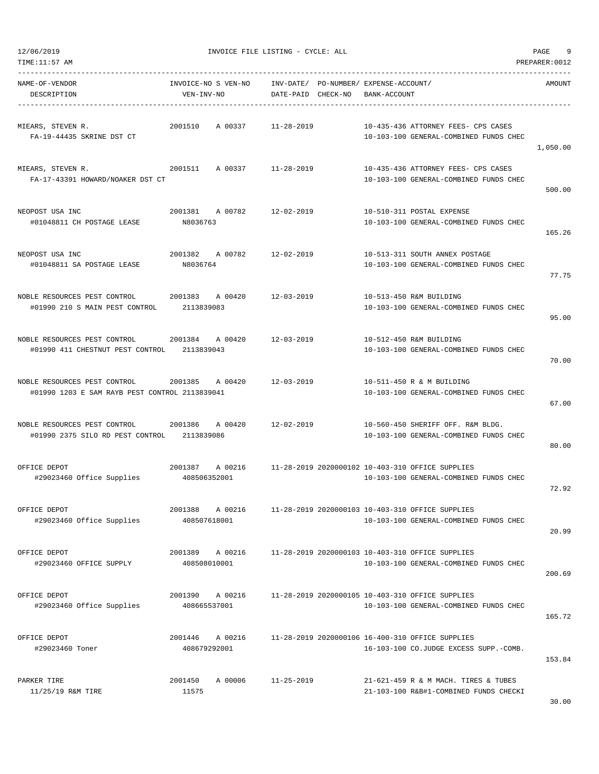| TIME:11:57 AM                                                                  |                                    |                                    |                                                                                            | PREPARER: 0012 |
|--------------------------------------------------------------------------------|------------------------------------|------------------------------------|--------------------------------------------------------------------------------------------|----------------|
| NAME-OF-VENDOR<br>DESCRIPTION                                                  | INVOICE-NO S VEN-NO<br>VEN-INV-NO  | INV-DATE/<br>DATE-PAID<br>CHECK-NO | PO-NUMBER / EXPENSE-ACCOUNT /<br>BANK-ACCOUNT                                              | AMOUNT         |
| MIEARS, STEVEN R.<br>FA-19-44435 SKRINE DST CT                                 | 2001510<br>A 00337                 | $11 - 28 - 2019$                   | 10-435-436 ATTORNEY FEES- CPS CASES<br>10-103-100 GENERAL-COMBINED FUNDS CHEC              | 1,050.00       |
| MIEARS, STEVEN R.<br>FA-17-43391 HOWARD/NOAKER DST CT                          | 2001511<br>A 00337                 | 11-28-2019                         | 10-435-436 ATTORNEY FEES- CPS CASES<br>10-103-100 GENERAL-COMBINED FUNDS CHEC              | 500.00         |
| NEOPOST USA INC<br>#01048811 CH POSTAGE LEASE                                  | 2001381<br>A 00782<br>N8036763     | $12 - 02 - 2019$                   | 10-510-311 POSTAL EXPENSE<br>10-103-100 GENERAL-COMBINED FUNDS CHEC                        | 165.26         |
| NEOPOST USA INC<br>#01048811 SA POSTAGE LEASE                                  | 2001382<br>A 00782<br>N8036764     | $12 - 02 - 2019$                   | 10-513-311 SOUTH ANNEX POSTAGE<br>10-103-100 GENERAL-COMBINED FUNDS CHEC                   | 77.75          |
| NOBLE RESOURCES PEST CONTROL<br>#01990 210 S MAIN PEST CONTROL                 | 2001383<br>A 00420<br>2113839083   | 12-03-2019                         | 10-513-450 R&M BUILDING<br>10-103-100 GENERAL-COMBINED FUNDS CHEC                          | 95.00          |
| NOBLE RESOURCES PEST CONTROL<br>#01990 411 CHESTNUT PEST CONTROL               | 2001384<br>A 00420<br>2113839043   | $12 - 03 - 2019$                   | 10-512-450 R&M BUILDING<br>10-103-100 GENERAL-COMBINED FUNDS CHEC                          | 70.00          |
| NOBLE RESOURCES PEST CONTROL<br>#01990 1203 E SAM RAYB PEST CONTROL 2113839041 | 2001385<br>A 00420                 | $12 - 03 - 2019$                   | 10-511-450 R & M BUILDING<br>10-103-100 GENERAL-COMBINED FUNDS CHEC                        | 67.00          |
| NOBLE RESOURCES PEST CONTROL<br>#01990 2375 SILO RD PEST CONTROL               | 2001386<br>A 00420<br>2113839086   | $12 - 02 - 2019$                   | 10-560-450 SHERIFF OFF. R&M BLDG.<br>10-103-100 GENERAL-COMBINED FUNDS CHEC                | 80.00          |
| OFFICE DEPOT<br>#29023460 Office Supplies                                      | 2001387<br>A 00216<br>408506352001 |                                    | 11-28-2019 2020000102 10-403-310 OFFICE SUPPLIES<br>10-103-100 GENERAL-COMBINED FUNDS CHEC | 72.92          |
| OFFICE DEPOT<br>#29023460 Office Supplies                                      | 2001388<br>A 00216<br>408507618001 |                                    | 11-28-2019 2020000103 10-403-310 OFFICE SUPPLIES<br>10-103-100 GENERAL-COMBINED FUNDS CHEC | 20.99          |
| OFFICE DEPOT<br>#29023460 OFFICE SUPPLY                                        | A 00216<br>2001389<br>408508010001 |                                    | 11-28-2019 2020000103 10-403-310 OFFICE SUPPLIES<br>10-103-100 GENERAL-COMBINED FUNDS CHEC | 200.69         |
| OFFICE DEPOT<br>#29023460 Office Supplies                                      | 2001390 A 00216<br>408665537001    |                                    | 11-28-2019 2020000105 10-403-310 OFFICE SUPPLIES<br>10-103-100 GENERAL-COMBINED FUNDS CHEC | 165.72         |
| OFFICE DEPOT<br>#29023460 Toner                                                | 2001446<br>A 00216<br>408679292001 |                                    | 11-28-2019 2020000106 16-400-310 OFFICE SUPPLIES<br>16-103-100 CO.JUDGE EXCESS SUPP.-COMB. | 153.84         |
| PARKER TIRE<br>11/25/19 R&M TIRE                                               | 2001450<br>A 00006<br>11575        | $11 - 25 - 2019$                   | 21-621-459 R & M MACH. TIRES & TUBES<br>21-103-100 R&B#1-COMBINED FUNDS CHECKI             | 30.00          |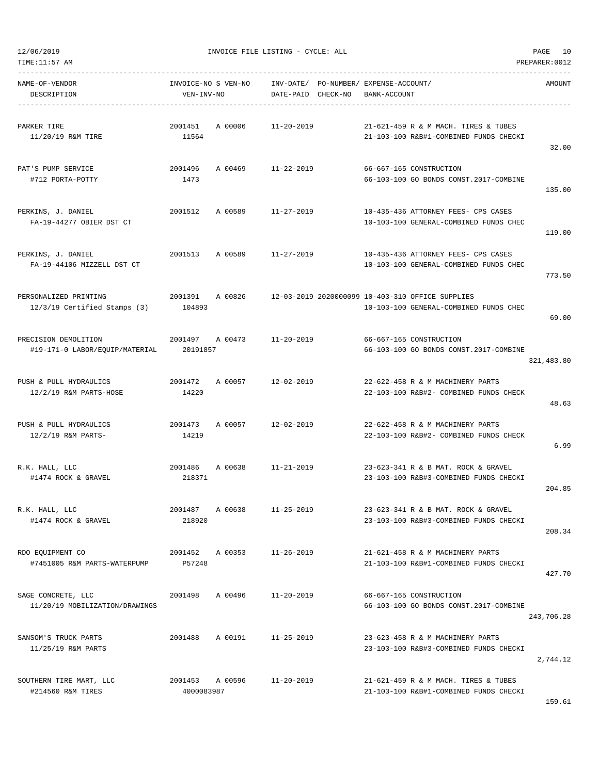| TIME:11:57 AM                                           |                                   |                                 |                                                                                            | PREPARER: 0012 |
|---------------------------------------------------------|-----------------------------------|---------------------------------|--------------------------------------------------------------------------------------------|----------------|
| NAME-OF-VENDOR<br>DESCRIPTION                           | INVOICE-NO S VEN-NO<br>VEN-INV-NO | INV-DATE/<br>DATE-PAID CHECK-NO | PO-NUMBER / EXPENSE-ACCOUNT /<br>BANK-ACCOUNT                                              | AMOUNT         |
| PARKER TIRE<br>11/20/19 R&M TIRE                        | 2001451<br>A 00006<br>11564       | $11 - 20 - 2019$                | 21-621-459 R & M MACH. TIRES & TUBES<br>21-103-100 R&B#1-COMBINED FUNDS CHECKI             | 32.00          |
| PAT'S PUMP SERVICE<br>#712 PORTA-POTTY                  | 2001496<br>A 00469<br>1473        | $11 - 22 - 2019$                | 66-667-165 CONSTRUCTION<br>66-103-100 GO BONDS CONST.2017-COMBINE                          | 135.00         |
| PERKINS, J. DANIEL<br>FA-19-44277 OBIER DST CT          | 2001512<br>A 00589                | $11 - 27 - 2019$                | 10-435-436 ATTORNEY FEES- CPS CASES<br>10-103-100 GENERAL-COMBINED FUNDS CHEC              | 119.00         |
| PERKINS, J. DANIEL<br>FA-19-44106 MIZZELL DST CT        | 2001513<br>A 00589                | $11 - 27 - 2019$                | 10-435-436 ATTORNEY FEES- CPS CASES<br>10-103-100 GENERAL-COMBINED FUNDS CHEC              | 773.50         |
| PERSONALIZED PRINTING<br>$12/3/19$ Certified Stamps (3) | 2001391<br>A 00826<br>104893      |                                 | 12-03-2019 2020000099 10-403-310 OFFICE SUPPLIES<br>10-103-100 GENERAL-COMBINED FUNDS CHEC | 69.00          |
| PRECISION DEMOLITION<br>#19-171-0 LABOR/EQUIP/MATERIAL  | 2001497<br>A 00473<br>20191857    | $11 - 20 - 2019$                | 66-667-165 CONSTRUCTION<br>66-103-100 GO BONDS CONST.2017-COMBINE                          | 321,483.80     |
| PUSH & PULL HYDRAULICS<br>12/2/19 R&M PARTS-HOSE        | 2001472<br>A 00057<br>14220       | $12 - 02 - 2019$                | 22-622-458 R & M MACHINERY PARTS<br>22-103-100 R&B#2- COMBINED FUNDS CHECK                 | 48.63          |
| PUSH & PULL HYDRAULICS<br>12/2/19 R&M PARTS-            | 2001473<br>A 00057<br>14219       | $12 - 02 - 2019$                | 22-622-458 R & M MACHINERY PARTS<br>22-103-100 R&B#2- COMBINED FUNDS CHECK                 | 6.99           |
| R.K. HALL, LLC<br>#1474 ROCK & GRAVEL                   | 2001486<br>A 00638<br>218371      | $11 - 21 - 2019$                | 23-623-341 R & B MAT. ROCK & GRAVEL<br>23-103-100 R&B#3-COMBINED FUNDS CHECKI              | 204.85         |
| R.K. HALL, LLC<br>#1474 ROCK & GRAVEL                   | A 00638<br>2001487<br>218920      | $11 - 25 - 2019$                | 23-623-341 R & B MAT. ROCK & GRAVEL<br>23-103-100 R&B#3-COMBINED FUNDS CHECKI              | 208.34         |
| RDO EQUIPMENT CO<br>#7451005 R&M PARTS-WATERPUMP        | 2001452<br>A 00353<br>P57248      | $11 - 26 - 2019$                | 21-621-458 R & M MACHINERY PARTS<br>21-103-100 R&B#1-COMBINED FUNDS CHECKI                 | 427.70         |
| SAGE CONCRETE, LLC<br>11/20/19 MOBILIZATION/DRAWINGS    | A 00496<br>2001498                | $11 - 20 - 2019$                | 66-667-165 CONSTRUCTION<br>66-103-100 GO BONDS CONST.2017-COMBINE                          | 243,706.28     |
| SANSOM'S TRUCK PARTS<br>11/25/19 R&M PARTS              | A 00191<br>2001488                | $11 - 25 - 2019$                | 23-623-458 R & M MACHINERY PARTS<br>23-103-100 R&B#3-COMBINED FUNDS CHECKI                 | 2,744.12       |
| SOUTHERN TIRE MART, LLC<br>#214560 R&M TIRES            | 2001453 A 00596<br>4000083987     | $11 - 20 - 2019$                | 21-621-459 R & M MACH. TIRES & TUBES<br>21-103-100 R&B#1-COMBINED FUNDS CHECKI             |                |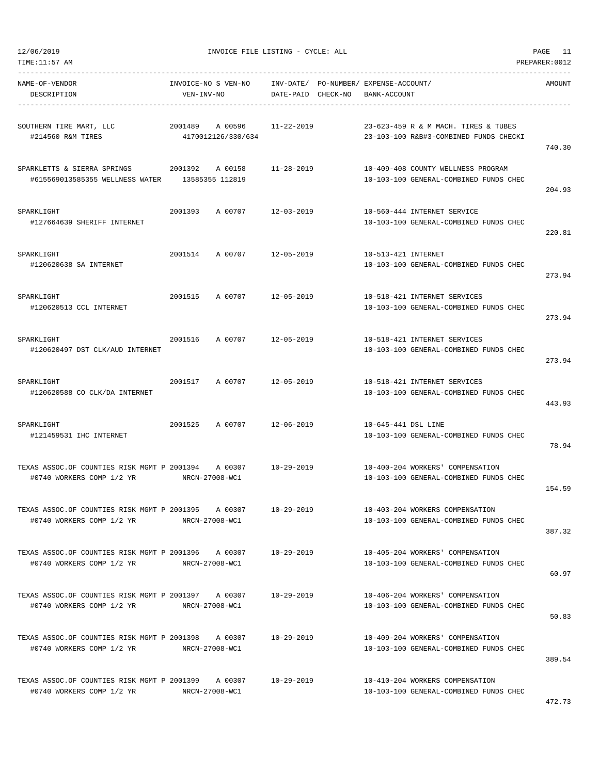| TIME:11:57 |  |  |  |  | ΆM |  |
|------------|--|--|--|--|----|--|
|------------|--|--|--|--|----|--|

PREPARER:0012

| NAME-OF-VENDOR<br>DESCRIPTION                                                                   | INVOICE-NO S VEN-NO<br>VEN-INV-NO |         | DATE-PAID CHECK-NO | INV-DATE/ PO-NUMBER/ EXPENSE-ACCOUNT/<br>BANK-ACCOUNT |                                                                                | AMOUNT |
|-------------------------------------------------------------------------------------------------|-----------------------------------|---------|--------------------|-------------------------------------------------------|--------------------------------------------------------------------------------|--------|
| SOUTHERN TIRE MART, LLC<br>#214560 R&M TIRES                                                    | 2001489<br>4170012126/330/634     | A 00596 | 11-22-2019         |                                                       | 23-623-459 R & M MACH. TIRES & TUBES<br>23-103-100 R&B#3-COMBINED FUNDS CHECKI | 740.30 |
| SPARKLETTS & SIERRA SPRINGS<br>#615569013585355 WELLNESS WATER                                  | 2001392<br>13585355 112819        | A 00158 | 11-28-2019         |                                                       | 10-409-408 COUNTY WELLNESS PROGRAM<br>10-103-100 GENERAL-COMBINED FUNDS CHEC   | 204.93 |
| SPARKLIGHT<br>#127664639 SHERIFF INTERNET                                                       | 2001393                           | A 00707 | 12-03-2019         |                                                       | 10-560-444 INTERNET SERVICE<br>10-103-100 GENERAL-COMBINED FUNDS CHEC          | 220.81 |
| SPARKLIGHT<br>#120620638 SA INTERNET                                                            | 2001514                           | A 00707 | 12-05-2019         | 10-513-421 INTERNET                                   | 10-103-100 GENERAL-COMBINED FUNDS CHEC                                         | 273.94 |
| SPARKLIGHT<br>#120620513 CCL INTERNET                                                           | 2001515                           | A 00707 | 12-05-2019         |                                                       | 10-518-421 INTERNET SERVICES<br>10-103-100 GENERAL-COMBINED FUNDS CHEC         | 273.94 |
| SPARKLIGHT<br>#120620497 DST CLK/AUD INTERNET                                                   | 2001516                           | A 00707 | 12-05-2019         |                                                       | 10-518-421 INTERNET SERVICES<br>10-103-100 GENERAL-COMBINED FUNDS CHEC         | 273.94 |
| SPARKLIGHT<br>#120620588 CO CLK/DA INTERNET                                                     | 2001517                           | A 00707 | 12-05-2019         |                                                       | 10-518-421 INTERNET SERVICES<br>10-103-100 GENERAL-COMBINED FUNDS CHEC         | 443.93 |
| SPARKLIGHT<br>#121459531 IHC INTERNET                                                           | 2001525                           | A 00707 | 12-06-2019         | 10-645-441 DSL LINE                                   | 10-103-100 GENERAL-COMBINED FUNDS CHEC                                         | 78.94  |
| TEXAS ASSOC.OF COUNTIES RISK MGMT P 2001394 A 00307<br>#0740 WORKERS COMP 1/2 YR                | NRCN-27008-WC1                    |         | 10-29-2019         |                                                       | 10-400-204 WORKERS' COMPENSATION<br>10-103-100 GENERAL-COMBINED FUNDS CHEC     | 154.59 |
| TEXAS ASSOC.OF COUNTIES RISK MGMT P 2001395 A 00307<br>#0740 WORKERS COMP 1/2 YR                | NRCN-27008-WC1                    |         | $10 - 29 - 2019$   |                                                       | 10-403-204 WORKERS COMPENSATION<br>10-103-100 GENERAL-COMBINED FUNDS CHEC      | 387.32 |
| TEXAS ASSOC.OF COUNTIES RISK MGMT P 2001396 A 00307 10-29-2019<br>#0740 WORKERS COMP 1/2 YR     | NRCN-27008-WC1                    |         |                    |                                                       | 10-405-204 WORKERS' COMPENSATION<br>10-103-100 GENERAL-COMBINED FUNDS CHEC     | 60.97  |
| TEXAS ASSOC.OF COUNTIES RISK MGMT P 2001397 A 00307<br>#0740 WORKERS COMP 1/2 YR                | NRCN-27008-WC1                    |         | 10-29-2019         |                                                       | 10-406-204 WORKERS' COMPENSATION<br>10-103-100 GENERAL-COMBINED FUNDS CHEC     | 50.83  |
| TEXAS ASSOC.OF COUNTIES RISK MGMT P 2001398 A 00307<br>#0740 WORKERS COMP 1/2 YR NRCN-27008-WC1 |                                   |         | 10-29-2019         |                                                       | 10-409-204 WORKERS' COMPENSATION<br>10-103-100 GENERAL-COMBINED FUNDS CHEC     | 389.54 |
| TEXAS ASSOC.OF COUNTIES RISK MGMT P 2001399 A 00307<br>#0740 WORKERS COMP 1/2 YR                | NRCN-27008-WC1                    |         | 10-29-2019         |                                                       | 10-410-204 WORKERS COMPENSATION<br>10-103-100 GENERAL-COMBINED FUNDS CHEC      |        |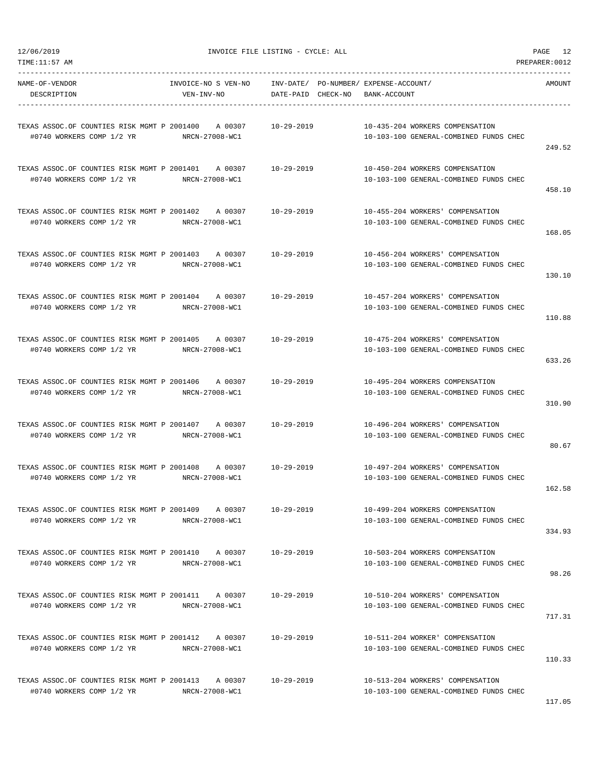| TEXAS ASSOC.OF COUNTIES RISK MGMT P 2001400<br>A 00307 | $10 - 29 - 2019$ | 10-435-204 WORKERS COMPENSATION        |        |
|--------------------------------------------------------|------------------|----------------------------------------|--------|
| #0740 WORKERS COMP 1/2 YR<br>NRCN-27008-WC1            |                  | 10-103-100 GENERAL-COMBINED FUNDS CHEC |        |
|                                                        |                  |                                        | 249.52 |
| TEXAS ASSOC.OF COUNTIES RISK MGMT P 2001401<br>A 00307 | 10-29-2019       | 10-450-204 WORKERS COMPENSATION        |        |
| #0740 WORKERS COMP 1/2 YR<br>NRCN-27008-WC1            |                  | 10-103-100 GENERAL-COMBINED FUNDS CHEC |        |
|                                                        |                  |                                        | 458.10 |
| TEXAS ASSOC.OF COUNTIES RISK MGMT P 2001402 A 00307    | 10-29-2019       | 10-455-204 WORKERS' COMPENSATION       |        |
| #0740 WORKERS COMP 1/2 YR<br>NRCN-27008-WC1            |                  | 10-103-100 GENERAL-COMBINED FUNDS CHEC |        |
|                                                        |                  |                                        | 168.05 |
| TEXAS ASSOC.OF COUNTIES RISK MGMT P 2001403<br>A 00307 | 10-29-2019       | 10-456-204 WORKERS' COMPENSATION       |        |
| NRCN-27008-WC1<br>#0740 WORKERS COMP 1/2 YR            |                  | 10-103-100 GENERAL-COMBINED FUNDS CHEC |        |
|                                                        |                  |                                        | 130.10 |
| TEXAS ASSOC.OF COUNTIES RISK MGMT P 2001404<br>A 00307 | $10 - 29 - 2019$ | 10-457-204 WORKERS' COMPENSATION       |        |
| #0740 WORKERS COMP 1/2 YR<br>NRCN-27008-WC1            |                  | 10-103-100 GENERAL-COMBINED FUNDS CHEC |        |
|                                                        |                  |                                        | 110.88 |
| TEXAS ASSOC.OF COUNTIES RISK MGMT P 2001405 A 00307    | 10-29-2019       | 10-475-204 WORKERS' COMPENSATION       |        |
| #0740 WORKERS COMP 1/2 YR<br>NRCN-27008-WC1            |                  | 10-103-100 GENERAL-COMBINED FUNDS CHEC |        |
|                                                        |                  |                                        | 633.26 |
|                                                        |                  | 10-495-204 WORKERS COMPENSATION        |        |
| #0740 WORKERS COMP 1/2 YR NRCN-27008-WC1               |                  | 10-103-100 GENERAL-COMBINED FUNDS CHEC |        |
|                                                        |                  |                                        | 310.90 |
| TEXAS ASSOC.OF COUNTIES RISK MGMT P 2001407<br>A 00307 | 10-29-2019       | 10-496-204 WORKERS' COMPENSATION       |        |
| #0740 WORKERS COMP 1/2 YR<br>NRCN-27008-WC1            |                  | 10-103-100 GENERAL-COMBINED FUNDS CHEC |        |
|                                                        |                  |                                        | 80.67  |
| TEXAS ASSOC.OF COUNTIES RISK MGMT P 2001408 A 00307    | 10-29-2019       | 10-497-204 WORKERS' COMPENSATION       |        |
| #0740 WORKERS COMP 1/2 YR<br>NRCN-27008-WC1            |                  | 10-103-100 GENERAL-COMBINED FUNDS CHEC |        |
|                                                        |                  |                                        | 162.58 |
| TEXAS ASSOC.OF COUNTIES RISK MGMT P 2001409 A 00307    | 10-29-2019       | 10-499-204 WORKERS COMPENSATION        |        |
| #0740 WORKERS COMP 1/2 YR<br>NRCN-27008-WC1            |                  | 10-103-100 GENERAL-COMBINED FUNDS CHEC |        |
|                                                        |                  |                                        | 334.93 |
| TEXAS ASSOC.OF COUNTIES RISK MGMT P 2001410 A 00307    | 10-29-2019       | 10-503-204 WORKERS COMPENSATION        |        |
| #0740 WORKERS COMP 1/2 YR<br>NRCN-27008-WC1            |                  | 10-103-100 GENERAL-COMBINED FUNDS CHEC |        |
|                                                        |                  |                                        | 98.26  |
| TEXAS ASSOC.OF COUNTIES RISK MGMT P 2001411 A 00307    | 10-29-2019       | 10-510-204 WORKERS' COMPENSATION       |        |
| #0740 WORKERS COMP 1/2 YR<br>NRCN-27008-WC1            |                  | 10-103-100 GENERAL-COMBINED FUNDS CHEC |        |
|                                                        |                  |                                        | 717.31 |
| TEXAS ASSOC.OF COUNTIES RISK MGMT P 2001412 A 00307    | 10-29-2019       | 10-511-204 WORKER' COMPENSATION        |        |
| #0740 WORKERS COMP 1/2 YR<br>NRCN-27008-WC1            |                  | 10-103-100 GENERAL-COMBINED FUNDS CHEC |        |
|                                                        |                  |                                        | 110.33 |
| TEXAS ASSOC.OF COUNTIES RISK MGMT P 2001413<br>A 00307 | 10-29-2019       | 10-513-204 WORKERS' COMPENSATION       |        |
|                                                        |                  |                                        |        |

#0740 WORKERS COMP 1/2 YR NRCN-27008-WC1 10-103-100 GENERAL-COMBINED FUNDS CHEC

12/06/2019 INVOICE FILE LISTING - CYCLE: ALL PAGE 12

----------------------------------------------------------------------------------------------------------------------------------- NAME-OF-VENDOR INVOICE-NO S VEN-NO INV-DATE/ PO-NUMBER/ EXPENSE-ACCOUNT/ AMOUNT

DESCRIPTION VEN-INV-NO DATE-PAID CHECK-NO BANK-ACCOUNT

## TIME:11:57 AM PREPARER:0012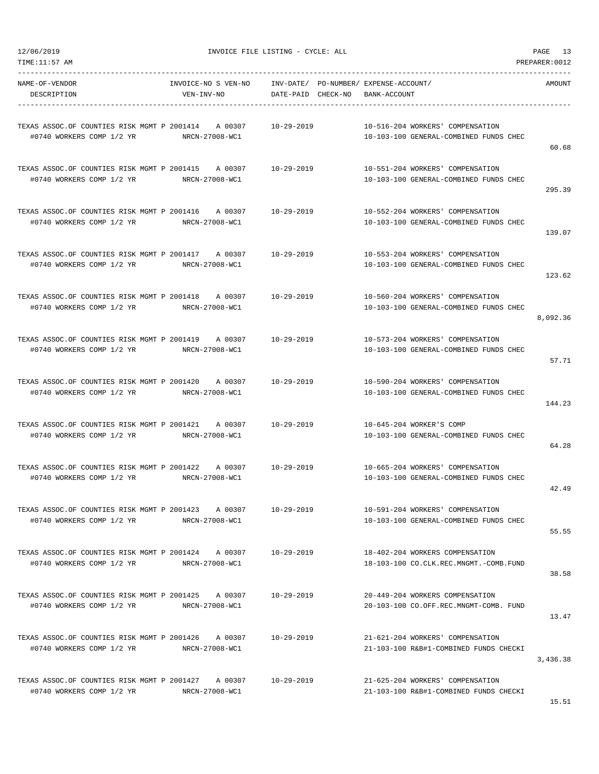|          | 10-516-204 WORKERS' COMPENSATION                                           |                  |                                                                                                            |
|----------|----------------------------------------------------------------------------|------------------|------------------------------------------------------------------------------------------------------------|
|          | 10-103-100 GENERAL-COMBINED FUNDS CHEC                                     |                  | #0740 WORKERS COMP 1/2 YR<br>NRCN-27008-WC1                                                                |
| 60.68    |                                                                            |                  |                                                                                                            |
|          | 10-551-204 WORKERS' COMPENSATION                                           |                  | TEXAS ASSOC.OF COUNTIES RISK MGMT P 2001415 A 00307 10-29-2019                                             |
|          | 10-103-100 GENERAL-COMBINED FUNDS CHEC                                     |                  | #0740 WORKERS COMP 1/2 YR<br>NRCN-27008-WC1                                                                |
| 295.39   |                                                                            |                  |                                                                                                            |
|          | 10-552-204 WORKERS' COMPENSATION                                           |                  |                                                                                                            |
|          | 10-103-100 GENERAL-COMBINED FUNDS CHEC                                     |                  | #0740 WORKERS COMP 1/2 YR NRCN-27008-WC1                                                                   |
| 139.07   |                                                                            |                  |                                                                                                            |
|          | 10-553-204 WORKERS' COMPENSATION                                           |                  |                                                                                                            |
|          | 10-103-100 GENERAL-COMBINED FUNDS CHEC                                     |                  | #0740 WORKERS COMP 1/2 YR NRCN-27008-WC1                                                                   |
| 123.62   |                                                                            |                  |                                                                                                            |
|          |                                                                            |                  |                                                                                                            |
|          | 10-560-204 WORKERS' COMPENSATION<br>10-103-100 GENERAL-COMBINED FUNDS CHEC |                  | TEXAS ASSOC.OF COUNTIES RISK MGMT P 2001418 A 00307 10-29-2019<br>#0740 WORKERS COMP 1/2 YR NRCN-27008-WC1 |
| 8,092.36 |                                                                            |                  |                                                                                                            |
|          |                                                                            |                  |                                                                                                            |
|          |                                                                            |                  | TEXAS ASSOC.OF COUNTIES RISK MGMT P 2001419 A 00307 10-29-2019 10-573-204 WORKERS' COMPENSATION            |
| 57.71    | 10-103-100 GENERAL-COMBINED FUNDS CHEC                                     |                  | #0740 WORKERS COMP 1/2 YR NRCN-27008-WC1                                                                   |
|          |                                                                            |                  |                                                                                                            |
|          | 10-590-204 WORKERS' COMPENSATION                                           |                  |                                                                                                            |
|          | 10-103-100 GENERAL-COMBINED FUNDS CHEC                                     |                  | #0740 WORKERS COMP 1/2 YR NRCN-27008-WC1                                                                   |
| 144.23   |                                                                            |                  |                                                                                                            |
|          | 10-645-204 WORKER'S COMP                                                   |                  |                                                                                                            |
|          | 10-103-100 GENERAL-COMBINED FUNDS CHEC                                     |                  | $\text{\#0740}$ WORKERS COMP $1/2$ YR NRCN-27008-WC1                                                       |
| 64.28    |                                                                            |                  |                                                                                                            |
|          | 10-665-204 WORKERS' COMPENSATION                                           |                  |                                                                                                            |
|          | 10-103-100 GENERAL-COMBINED FUNDS CHEC                                     |                  | #0740 WORKERS COMP 1/2 YR NRCN-27008-WC1                                                                   |
| 42.49    |                                                                            |                  |                                                                                                            |
|          | 10-591-204 WORKERS' COMPENSATION                                           |                  | TEXAS ASSOC.OF COUNTIES RISK MGMT P 2001423 A 00307 10-29-2019                                             |
|          | 10-103-100 GENERAL-COMBINED FUNDS CHEC                                     |                  | #0740 WORKERS COMP 1/2 YR NRCN-27008-WC1                                                                   |
| 55.55    |                                                                            |                  |                                                                                                            |
|          |                                                                            |                  |                                                                                                            |
|          | 18-402-204 WORKERS COMPENSATION                                            | 10-29-2019       | TEXAS ASSOC.OF COUNTIES RISK MGMT P 2001424 A 00307<br>NRCN-27008-WC1                                      |
| 38.58    | 18-103-100 CO.CLK.REC.MNGMT.-COMB.FUND                                     |                  | #0740 WORKERS COMP 1/2 YR                                                                                  |
|          |                                                                            |                  |                                                                                                            |
|          | 20-449-204 WORKERS COMPENSATION                                            |                  |                                                                                                            |
| 13.47    | 20-103-100 CO.OFF.REC.MNGMT-COMB. FUND                                     |                  | #0740 WORKERS COMP 1/2 YR<br>NRCN-27008-WC1                                                                |
|          |                                                                            |                  |                                                                                                            |
|          | 21-621-204 WORKERS' COMPENSATION                                           | $10 - 29 - 2019$ | TEXAS ASSOC.OF COUNTIES RISK MGMT P 2001426 A 00307                                                        |
|          | 21-103-100 R&B#1-COMBINED FUNDS CHECKI                                     |                  | #0740 WORKERS COMP 1/2 YR<br>NRCN-27008-WC1                                                                |
| 3,436.38 |                                                                            |                  |                                                                                                            |
|          | 21-625-204 WORKERS' COMPENSATION                                           | 10-29-2019       | TEXAS ASSOC.OF COUNTIES RISK MGMT P 2001427 A 00307                                                        |
|          | 21-103-100 R&B#1-COMBINED FUNDS CHECKI                                     |                  | #0740 WORKERS COMP 1/2 YR NRCN-27008-WC1                                                                   |

DESCRIPTION VEN-INV-NO DATE-PAID CHECK-NO BANK-ACCOUNT

----------------------------------------------------------------------------------------------------------------------------------- NAME-OF-VENDOR INVOICE-NO S VEN-NO INV-DATE/ PO-NUMBER/ EXPENSE-ACCOUNT/ AMOUNT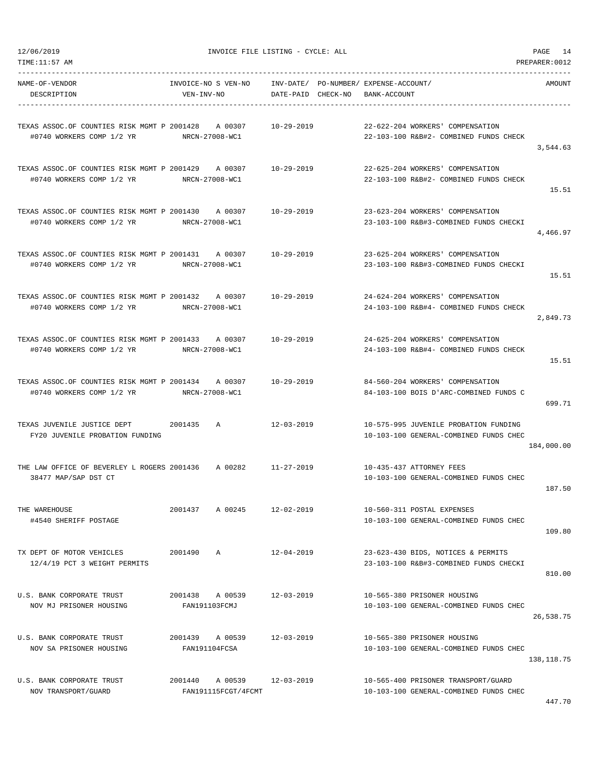| TEXAS ASSOC.OF COUNTIES RISK MGMT P 2001428 A 00307 10-29-2019                              |                                           |                  | 22-622-204 WORKERS' COMPENSATION                                                |             |
|---------------------------------------------------------------------------------------------|-------------------------------------------|------------------|---------------------------------------------------------------------------------|-------------|
| #0740 WORKERS COMP 1/2 YR NRCN-27008-WC1                                                    |                                           |                  | 22-103-100 R&B#2- COMBINED FUNDS CHECK                                          | 3,544.63    |
| TEXAS ASSOC.OF COUNTIES RISK MGMT P 2001429 A 00307<br>#0740 WORKERS COMP 1/2 YR            | NRCN-27008-WC1                            | 10-29-2019       | 22-625-204 WORKERS' COMPENSATION<br>22-103-100 R&B#2- COMBINED FUNDS CHECK      | 15.51       |
| #0740 WORKERS COMP 1/2 YR                                                                   | NRCN-27008-WC1                            |                  | 23-623-204 WORKERS' COMPENSATION<br>23-103-100 R&B#3-COMBINED FUNDS CHECKI      | 4,466.97    |
| #0740 WORKERS COMP 1/2 YR NRCN-27008-WC1                                                    |                                           |                  | 23-625-204 WORKERS' COMPENSATION<br>23-103-100 R&B#3-COMBINED FUNDS CHECKI      | 15.51       |
| #0740 WORKERS COMP 1/2 YR NRCN-27008-WC1                                                    |                                           |                  | 24-624-204 WORKERS' COMPENSATION<br>24-103-100 R&B#4- COMBINED FUNDS CHECK      | 2,849.73    |
| TEXAS ASSOC.OF COUNTIES RISK MGMT P 2001433 A 00307 10-29-2019<br>#0740 WORKERS COMP 1/2 YR | NRCN-27008-WC1                            |                  | 24-625-204 WORKERS' COMPENSATION<br>24-103-100 R&B#4- COMBINED FUNDS CHECK      | 15.51       |
| #0740 WORKERS COMP 1/2 YR NRCN-27008-WC1                                                    |                                           |                  | 84-560-204 WORKERS' COMPENSATION<br>84-103-100 BOIS D'ARC-COMBINED FUNDS C      | 699.71      |
| FY20 JUVENILE PROBATION FUNDING                                                             |                                           | 12-03-2019       | 10-575-995 JUVENILE PROBATION FUNDING<br>10-103-100 GENERAL-COMBINED FUNDS CHEC | 184,000.00  |
| 38477 MAP/SAP DST CT                                                                        |                                           |                  | 10-435-437 ATTORNEY FEES<br>10-103-100 GENERAL-COMBINED FUNDS CHEC              | 187.50      |
| THE WAREHOUSE<br>#4540 SHERIFF POSTAGE                                                      | 2001437 A 00245 12-02-2019                |                  | 10-560-311 POSTAL EXPENSES<br>10-103-100 GENERAL-COMBINED FUNDS CHEC            | 109.80      |
| TX DEPT OF MOTOR VEHICLES<br>12/4/19 PCT 3 WEIGHT PERMITS                                   | 2001490<br>$\mathbb{A}$                   | $12 - 04 - 2019$ | 23-623-430 BIDS, NOTICES & PERMITS<br>23-103-100 R&B#3-COMBINED FUNDS CHECKI    | 810.00      |
| U.S. BANK CORPORATE TRUST<br>NOV MJ PRISONER HOUSING                                        | 2001438 A 00539<br>FAN191103FCMJ          | $12 - 03 - 2019$ | 10-565-380 PRISONER HOUSING<br>10-103-100 GENERAL-COMBINED FUNDS CHEC           | 26,538.75   |
| U.S. BANK CORPORATE TRUST<br>NOV SA PRISONER HOUSING                                        | 2001439 A 00539<br>FAN191104FCSA          | $12 - 03 - 2019$ | 10-565-380 PRISONER HOUSING<br>10-103-100 GENERAL-COMBINED FUNDS CHEC           | 138, 118.75 |
| U.S. BANK CORPORATE TRUST<br>NOV TRANSPORT/GUARD                                            | A 00539<br>2001440<br>FAN191115FCGT/4FCMT | $12 - 03 - 2019$ | 10-565-400 PRISONER TRANSPORT/GUARD<br>10-103-100 GENERAL-COMBINED FUNDS CHEC   | 447.70      |

DESCRIPTION VEN-INV-NO DATE-PAID CHECK-NO BANK-ACCOUNT

----------------------------------------------------------------------------------------------------------------------------------- NAME-OF-VENDOR INVOICE-NO S VEN-NO INV-DATE/ PO-NUMBER/ EXPENSE-ACCOUNT/ AMOUNT

TIME:11:57 AM PREPARER:0012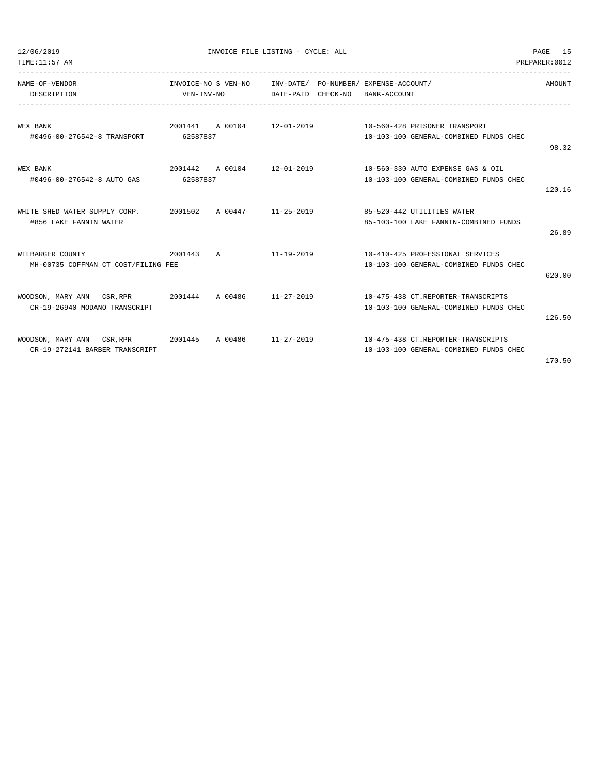TIME:11:57 AM PREPARER:0012

12/06/2019 INVOICE FILE LISTING - CYCLE: ALL PAGE 15

| NAME-OF-VENDOR                                                                            | INVOICE-NO S VEN-NO INV-DATE/ PO-NUMBER/ EXPENSE-ACCOUNT/ |  |                                                                      | AMOUNT |
|-------------------------------------------------------------------------------------------|-----------------------------------------------------------|--|----------------------------------------------------------------------|--------|
| DESCRIPTION                                                                               | VEN-INV-NO DATE-PAID CHECK-NO BANK-ACCOUNT                |  |                                                                      |        |
|                                                                                           |                                                           |  |                                                                      |        |
| WEX BANK                                                                                  |                                                           |  | 2001441    A 00104    12-01-2019    10-560-428    PRISONER TRANSPORT |        |
| #0496-00-276542-8 TRANSPORT 62587837                                                      |                                                           |  | 10-103-100 GENERAL-COMBINED FUNDS CHEC                               |        |
|                                                                                           |                                                           |  |                                                                      | 98.32  |
| WEX BANK                                                                                  |                                                           |  | 2001442 A 00104 12-01-2019 10-560-330 AUTO EXPENSE GAS & OIL         |        |
| #0496-00-276542-8 AUTO GAS 62587837                                                       |                                                           |  | 10-103-100 GENERAL-COMBINED FUNDS CHEC                               |        |
|                                                                                           |                                                           |  |                                                                      | 120.16 |
|                                                                                           |                                                           |  |                                                                      |        |
| WHITE SHED WATER SUPPLY CORP. 2001502 A 00447 11-25-2019 85-520-442 UTILITIES WATER       |                                                           |  |                                                                      |        |
| #856 LAKE FANNIN WATER                                                                    |                                                           |  | 85-103-100 LAKE FANNIN-COMBINED FUNDS                                |        |
|                                                                                           |                                                           |  |                                                                      | 26.89  |
| WILBARGER COUNTY                                                                          |                                                           |  | 2001443 A 11-19-2019 10-410-425 PROFESSIONAL SERVICES                |        |
| MH-00735 COFFMAN CT COST/FILING FEE                                                       |                                                           |  | 10-103-100 GENERAL-COMBINED FUNDS CHEC                               |        |
|                                                                                           |                                                           |  |                                                                      | 620.00 |
|                                                                                           |                                                           |  |                                                                      |        |
| WOODSON, MARY ANN CSR, RPR 2001444 A 00486 11-27-2019 10-475-438 CT. REPORTER-TRANSCRIPTS |                                                           |  |                                                                      |        |
| CR-19-26940 MODANO TRANSCRIPT                                                             |                                                           |  | 10-103-100 GENERAL-COMBINED FUNDS CHEC                               |        |
|                                                                                           |                                                           |  |                                                                      | 126.50 |
| WOODSON, MARY ANN CSR, RPR 2001445 A 00486 11-27-2019 10-475-438 CT. REPORTER-TRANSCRIPTS |                                                           |  |                                                                      |        |
| CR-19-272141 BARBER TRANSCRIPT                                                            |                                                           |  | 10-103-100 GENERAL-COMBINED FUNDS CHEC                               |        |